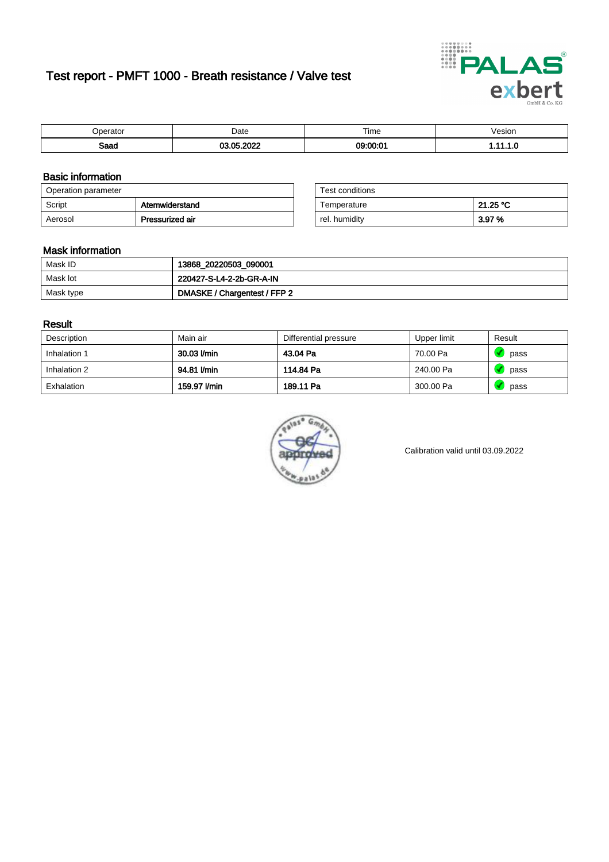# Test report - PMFT 1000 - Breath resistance / Valve test



| maxmax | Date | $- \cdot$<br>Time | esion/ |
|--------|------|-------------------|--------|
| Saad   | 000  | 0.0000<br>. .     | . v    |

### Basic information

| Operation parameter |                 | Test conditions |          |
|---------------------|-----------------|-----------------|----------|
| Script              | Atemwiderstand  | Temperature     | 21.25 °C |
| Aerosol             | Pressurized air | rel. humidity   | 3.97%    |

| Test conditions |          |
|-----------------|----------|
| Temperature     | 21.25 °C |
| rel. humidity   | 3.97%    |

#### Mask information

| Mask ID   | 13868_20220503_090001        |
|-----------|------------------------------|
| Mask lot  | 220427-S-L4-2-2b-GR-A-IN     |
| Mask type | DMASKE / Chargentest / FFP 2 |

### Result

| Description  | Main air     | Differential pressure | Upper limit | Result |
|--------------|--------------|-----------------------|-------------|--------|
| Inhalation 1 | 30.03 l/min  | 43.04 Pa              | 70.00 Pa    | pass   |
| Inhalation 2 | 94.81 I/min  | 114.84 Pa             | 240.00 Pa   | pass   |
| Exhalation   | 159.97 l/min | 189.11 Pa             | 300.00 Pa   | pass   |



Calibration valid until 03.09.2022